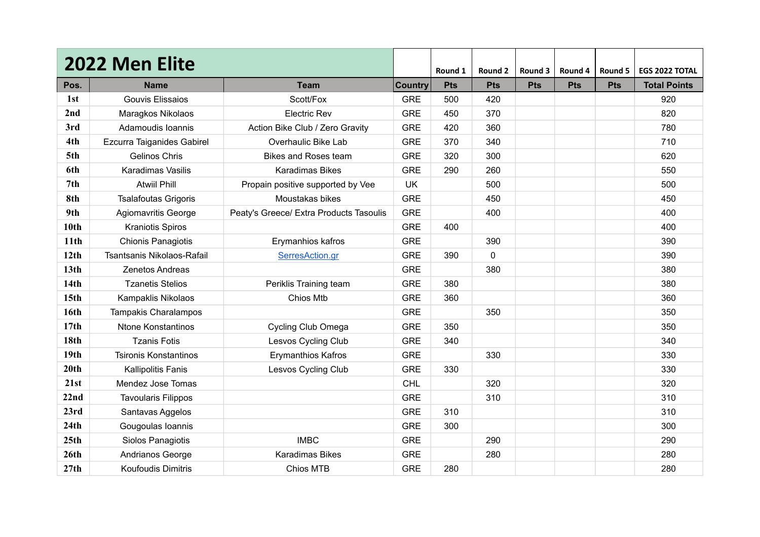|                  | 2022 Men Elite               |                                         |                | Round 1    | Round 2    | Round 3    | Round 4    | Round 5    | EGS 2022 TOTAL      |
|------------------|------------------------------|-----------------------------------------|----------------|------------|------------|------------|------------|------------|---------------------|
| Pos.             | <b>Name</b>                  | <b>Team</b>                             | <b>Country</b> | <b>Pts</b> | <b>Pts</b> | <b>Pts</b> | <b>Pts</b> | <b>Pts</b> | <b>Total Points</b> |
| 1st              | Gouvis Elissaios             | Scott/Fox                               | <b>GRE</b>     | 500        | 420        |            |            |            | 920                 |
| 2nd              | Maragkos Nikolaos            | <b>Electric Rev</b>                     | <b>GRE</b>     | 450        | 370        |            |            |            | 820                 |
| 3rd              | Adamoudis Ioannis            | Action Bike Club / Zero Gravity         | <b>GRE</b>     | 420        | 360        |            |            |            | 780                 |
| 4th              | Ezcurra Taiganides Gabirel   | Overhaulic Bike Lab                     | <b>GRE</b>     | 370        | 340        |            |            |            | 710                 |
| 5th              | Gelinos Chris                | <b>Bikes and Roses team</b>             | <b>GRE</b>     | 320        | 300        |            |            |            | 620                 |
| 6th              | Karadimas Vasilis            | <b>Karadimas Bikes</b>                  | <b>GRE</b>     | 290        | 260        |            |            |            | 550                 |
| 7 <sub>th</sub>  | <b>Atwiil Phill</b>          | Propain positive supported by Vee       | UK             |            | 500        |            |            |            | 500                 |
| 8th              | <b>Tsalafoutas Grigoris</b>  | Moustakas bikes                         | <b>GRE</b>     |            | 450        |            |            |            | 450                 |
| 9th              | Agiomavritis George          | Peaty's Greece/ Extra Products Tasoulis | <b>GRE</b>     |            | 400        |            |            |            | 400                 |
| 10th             | <b>Kraniotis Spiros</b>      |                                         | <b>GRE</b>     | 400        |            |            |            |            | 400                 |
| 11th             | <b>Chionis Panagiotis</b>    | Erymanhios kafros                       | <b>GRE</b>     |            | 390        |            |            |            | 390                 |
| 12th             | Tsantsanis Nikolaos-Rafail   | SerresAction.gr                         | <b>GRE</b>     | 390        | 0          |            |            |            | 390                 |
| 13 <sub>th</sub> | <b>Zenetos Andreas</b>       |                                         | <b>GRE</b>     |            | 380        |            |            |            | 380                 |
| 14th             | <b>Tzanetis Stelios</b>      | Periklis Training team                  | <b>GRE</b>     | 380        |            |            |            |            | 380                 |
| 15 <sub>th</sub> | Kampaklis Nikolaos           | Chios Mtb                               | <b>GRE</b>     | 360        |            |            |            |            | 360                 |
| 16th             | Tampakis Charalampos         |                                         | <b>GRE</b>     |            | 350        |            |            |            | 350                 |
| 17th             | <b>Ntone Konstantinos</b>    | Cycling Club Omega                      | <b>GRE</b>     | 350        |            |            |            |            | 350                 |
| 18 <sub>th</sub> | <b>Tzanis Fotis</b>          | Lesvos Cycling Club                     | <b>GRE</b>     | 340        |            |            |            |            | 340                 |
| 19 <sub>th</sub> | <b>Tsironis Konstantinos</b> | <b>Erymanthios Kafros</b>               | <b>GRE</b>     |            | 330        |            |            |            | 330                 |
| 20th             | <b>Kallipolitis Fanis</b>    | Lesvos Cycling Club                     | <b>GRE</b>     | 330        |            |            |            |            | 330                 |
| 21st             | Mendez Jose Tomas            |                                         | <b>CHL</b>     |            | 320        |            |            |            | 320                 |
| 22nd             | <b>Tavoularis Filippos</b>   |                                         | <b>GRE</b>     |            | 310        |            |            |            | 310                 |
| 23rd             | Santavas Aggelos             |                                         | <b>GRE</b>     | 310        |            |            |            |            | 310                 |
| 24th             | Gougoulas Ioannis            |                                         | <b>GRE</b>     | 300        |            |            |            |            | 300                 |
| 25th             | Siolos Panagiotis            | <b>IMBC</b>                             | <b>GRE</b>     |            | 290        |            |            |            | 290                 |
| 26th             | Andrianos George             | Karadimas Bikes                         | <b>GRE</b>     |            | 280        |            |            |            | 280                 |
| 27th             | Koufoudis Dimitris           | Chios MTB                               | <b>GRE</b>     | 280        |            |            |            |            | 280                 |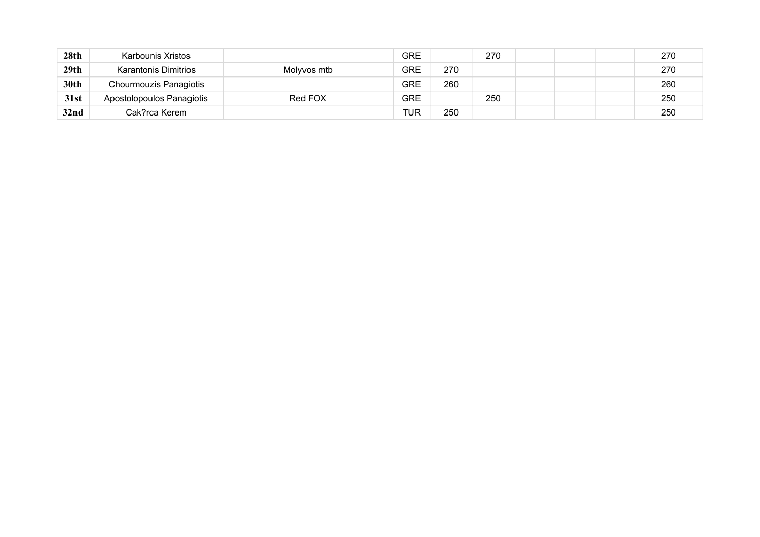| 28 <sub>th</sub> | Karbounis Xristos           |             | <b>GRE</b> |     | 270 |  | 270 |
|------------------|-----------------------------|-------------|------------|-----|-----|--|-----|
| 29th             | <b>Karantonis Dimitrios</b> | Molyvos mtb | <b>GRE</b> | 270 |     |  | 270 |
| 30th             | Chourmouzis Panagiotis      |             | <b>GRE</b> | 260 |     |  | 260 |
| 31st             | Apostolopoulos Panagiotis   | Red FOX     | <b>GRE</b> |     | 250 |  | 250 |
| 32 <sub>nd</sub> | Cak?rca Kerem               |             | <b>TUR</b> | 250 |     |  | 250 |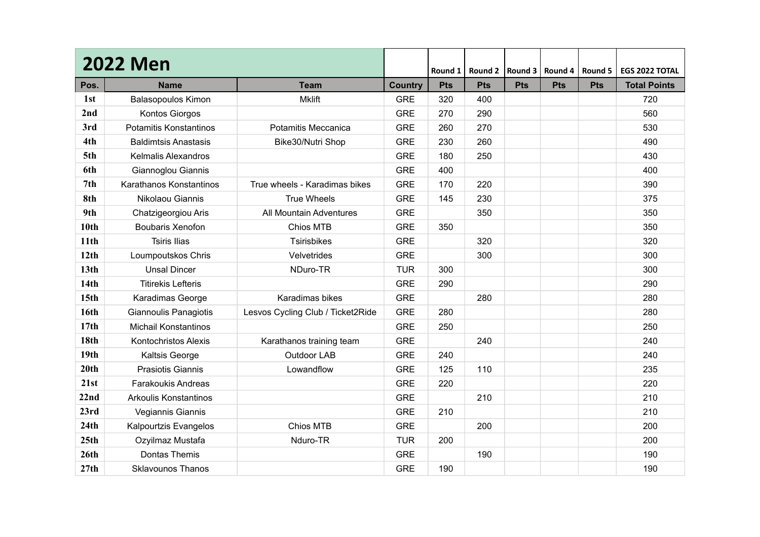|                  | <b>2022 Men</b>              |                                   |                | Round 1    | Round 2    | Round 3    | Round 4    | Round 5    | EGS 2022 TOTAL      |
|------------------|------------------------------|-----------------------------------|----------------|------------|------------|------------|------------|------------|---------------------|
| Pos.             | <b>Name</b>                  | <b>Team</b>                       | <b>Country</b> | <b>Pts</b> | <b>Pts</b> | <b>Pts</b> | <b>Pts</b> | <b>Pts</b> | <b>Total Points</b> |
| 1st              | <b>Balasopoulos Kimon</b>    | <b>Mklift</b>                     | <b>GRE</b>     | 320        | 400        |            |            |            | 720                 |
| 2nd              | Kontos Giorgos               |                                   | <b>GRE</b>     | 270        | 290        |            |            |            | 560                 |
| 3rd              | Potamitis Konstantinos       | Potamitis Meccanica               | <b>GRE</b>     | 260        | 270        |            |            |            | 530                 |
| 4th              | <b>Baldimtsis Anastasis</b>  | Bike30/Nutri Shop                 | <b>GRE</b>     | 230        | 260        |            |            |            | 490                 |
| 5th              | <b>Kelmalis Alexandros</b>   |                                   | <b>GRE</b>     | 180        | 250        |            |            |            | 430                 |
| 6th              | Giannoglou Giannis           |                                   | <b>GRE</b>     | 400        |            |            |            |            | 400                 |
| 7 <sub>th</sub>  | Karathanos Konstantinos      | True wheels - Karadimas bikes     | <b>GRE</b>     | 170        | 220        |            |            |            | 390                 |
| 8th              | Nikolaou Giannis             | <b>True Wheels</b>                | <b>GRE</b>     | 145        | 230        |            |            |            | 375                 |
| 9th              | Chatzigeorgiou Aris          | All Mountain Adventures           | <b>GRE</b>     |            | 350        |            |            |            | 350                 |
| 10th             | Boubaris Xenofon             | Chios MTB                         | <b>GRE</b>     | 350        |            |            |            |            | 350                 |
| 11th             | <b>Tsiris Ilias</b>          | <b>Tsirisbikes</b>                | <b>GRE</b>     |            | 320        |            |            |            | 320                 |
| 12th             | Loumpoutskos Chris           | Velvetrides                       | <b>GRE</b>     |            | 300        |            |            |            | 300                 |
| 13 <sub>th</sub> | <b>Unsal Dincer</b>          | NDuro-TR                          | <b>TUR</b>     | 300        |            |            |            |            | 300                 |
| 14th             | <b>Titirekis Lefteris</b>    |                                   | <b>GRE</b>     | 290        |            |            |            |            | 290                 |
| 15 <sub>th</sub> | Karadimas George             | Karadimas bikes                   | <b>GRE</b>     |            | 280        |            |            |            | 280                 |
| 16th             | Giannoulis Panagiotis        | Lesvos Cycling Club / Ticket2Ride | <b>GRE</b>     | 280        |            |            |            |            | 280                 |
| 17 <sub>th</sub> | <b>Michail Konstantinos</b>  |                                   | <b>GRE</b>     | 250        |            |            |            |            | 250                 |
| 18th             | <b>Kontochristos Alexis</b>  | Karathanos training team          | <b>GRE</b>     |            | 240        |            |            |            | 240                 |
| 19 <sub>th</sub> | Kaltsis George               | Outdoor LAB                       | <b>GRE</b>     | 240        |            |            |            |            | 240                 |
| 20th             | Prasiotis Giannis            | Lowandflow                        | <b>GRE</b>     | 125        | 110        |            |            |            | 235                 |
| 21st             | <b>Farakoukis Andreas</b>    |                                   | <b>GRE</b>     | 220        |            |            |            |            | 220                 |
| 22nd             | <b>Arkoulis Konstantinos</b> |                                   | <b>GRE</b>     |            | 210        |            |            |            | 210                 |
| 23rd             | Vegiannis Giannis            |                                   | <b>GRE</b>     | 210        |            |            |            |            | 210                 |
| 24th             | Kalpourtzis Evangelos        | Chios MTB                         | <b>GRE</b>     |            | 200        |            |            |            | 200                 |
| 25 <sub>th</sub> | Ozyilmaz Mustafa             | Nduro-TR                          | <b>TUR</b>     | 200        |            |            |            |            | 200                 |
| 26th             | Dontas Themis                |                                   | <b>GRE</b>     |            | 190        |            |            |            | 190                 |
| 27th             | <b>Sklavounos Thanos</b>     |                                   | <b>GRE</b>     | 190        |            |            |            |            | 190                 |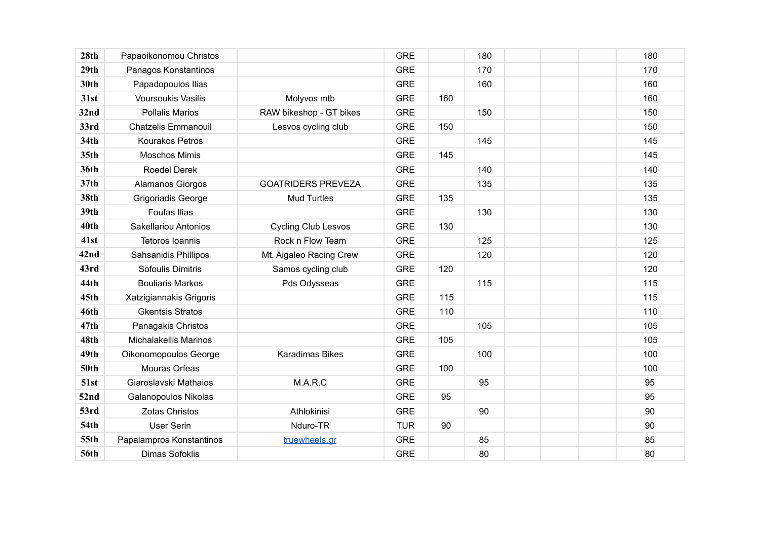| 28 <sub>th</sub> | Papaoikonomou Christos       |                            | <b>GRE</b> |     | 180 | 180 |
|------------------|------------------------------|----------------------------|------------|-----|-----|-----|
| 29th             | Panagos Konstantinos         |                            | <b>GRE</b> |     | 170 | 170 |
| 30th             | Papadopoulos Ilias           |                            | <b>GRE</b> |     | 160 | 160 |
| 31st             | <b>Voursoukis Vasilis</b>    | Molyvos mtb                | <b>GRE</b> | 160 |     | 160 |
| 32nd             | <b>Pollalis Marios</b>       | RAW bikeshop - GT bikes    | <b>GRE</b> |     | 150 | 150 |
| 33rd             | <b>Chatzelis Emmanouil</b>   | Lesvos cycling club        | <b>GRE</b> | 150 |     | 150 |
| 34th             | <b>Kourakos Petros</b>       |                            | <b>GRE</b> |     | 145 | 145 |
| 35th             | <b>Moschos Mimis</b>         |                            | <b>GRE</b> | 145 |     | 145 |
| 36th             | <b>Roedel Derek</b>          |                            | <b>GRE</b> |     | 140 | 140 |
| 37th             | Alamanos Giorgos             | <b>GOATRIDERS PREVEZA</b>  | <b>GRE</b> |     | 135 | 135 |
| <b>38th</b>      | Grigoriadis George           | <b>Mud Turtles</b>         | <b>GRE</b> | 135 |     | 135 |
| 39th             | <b>Foufas Ilias</b>          |                            | <b>GRE</b> |     | 130 | 130 |
| 40th             | Sakellariou Antonios         | <b>Cycling Club Lesvos</b> | <b>GRE</b> | 130 |     | 130 |
| 41st             | Tetoros Ioannis              | Rock n Flow Team           | <b>GRE</b> |     | 125 | 125 |
| <b>42nd</b>      | Sahsanidis Phillipos         | Mt. Aigaleo Racing Crew    | <b>GRE</b> |     | 120 | 120 |
| 43rd             | Sofoulis Dimitris            | Samos cycling club         | <b>GRE</b> | 120 |     | 120 |
| 44th             | <b>Bouliaris Markos</b>      | Pds Odysseas               | <b>GRE</b> |     | 115 | 115 |
| 45th             | Xatzigiannakis Grigoris      |                            | <b>GRE</b> | 115 |     | 115 |
| 46th             | <b>Gkentsis Stratos</b>      |                            | <b>GRE</b> | 110 |     | 110 |
| 47th             | Panagakis Christos           |                            | <b>GRE</b> |     | 105 | 105 |
| 48th             | <b>Michalakellis Marinos</b> |                            | <b>GRE</b> | 105 |     | 105 |
| 49th             | Oikonomopoulos George        | Karadimas Bikes            | <b>GRE</b> |     | 100 | 100 |
| <b>50th</b>      | Mouras Orfeas                |                            | <b>GRE</b> | 100 |     | 100 |
| 51st             | Giaroslavski Mathaios        | M.A.R.C                    | <b>GRE</b> |     | 95  | 95  |
| 52nd             | Galanopoulos Nikolas         |                            | <b>GRE</b> | 95  |     | 95  |
| 53rd             | <b>Zotas Christos</b>        | Athlokinisi                | <b>GRE</b> |     | 90  | 90  |
| <b>54th</b>      | <b>User Serin</b>            | Nduro-TR                   | <b>TUR</b> | 90  |     | 90  |
| 55th             | Papalampros Konstantinos     | truewheels.gr              | <b>GRE</b> |     | 85  | 85  |
| <b>56th</b>      | <b>Dimas Sofoklis</b>        |                            | <b>GRE</b> |     | 80  | 80  |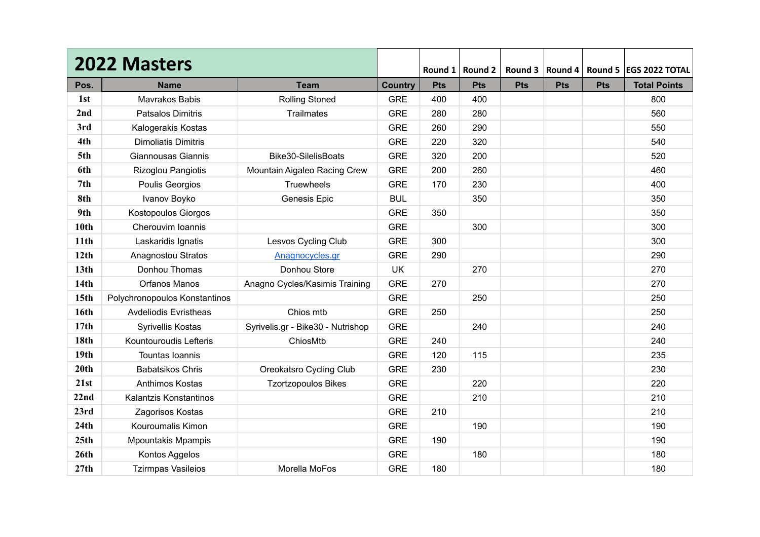|                  | <b>2022 Masters</b>           |                                   |                | Round 1    | Round 2    | Round 3    | Round 4    |            | Round 5   EGS 2022 TOTAL |
|------------------|-------------------------------|-----------------------------------|----------------|------------|------------|------------|------------|------------|--------------------------|
| Pos.             | <b>Name</b>                   | <b>Team</b>                       | <b>Country</b> | <b>Pts</b> | <b>Pts</b> | <b>Pts</b> | <b>Pts</b> | <b>Pts</b> | <b>Total Points</b>      |
| 1st              | Mavrakos Babis                | <b>Rolling Stoned</b>             | <b>GRE</b>     | 400        | 400        |            |            |            | 800                      |
| 2nd              | <b>Patsalos Dimitris</b>      | <b>Trailmates</b>                 | <b>GRE</b>     | 280        | 280        |            |            |            | 560                      |
| 3rd              | Kalogerakis Kostas            |                                   | <b>GRE</b>     | 260        | 290        |            |            |            | 550                      |
| 4th              | <b>Dimoliatis Dimitris</b>    |                                   | <b>GRE</b>     | 220        | 320        |            |            |            | 540                      |
| 5th              | Giannousas Giannis            | Bike30-SilelisBoats               | <b>GRE</b>     | 320        | 200        |            |            |            | 520                      |
| 6th              | Rizoglou Pangiotis            | Mountain Aigaleo Racing Crew      | <b>GRE</b>     | 200        | 260        |            |            |            | 460                      |
| 7 <sub>th</sub>  | Poulis Georgios               | <b>Truewheels</b>                 | <b>GRE</b>     | 170        | 230        |            |            |            | 400                      |
| 8th              | Ivanov Boyko                  | Genesis Epic                      | <b>BUL</b>     |            | 350        |            |            |            | 350                      |
| 9th              | <b>Kostopoulos Giorgos</b>    |                                   | <b>GRE</b>     | 350        |            |            |            |            | 350                      |
| 10 <sub>th</sub> | Cherouvim Ioannis             |                                   | <b>GRE</b>     |            | 300        |            |            |            | 300                      |
| 11 <sub>th</sub> | Laskaridis Ignatis            | Lesvos Cycling Club               | <b>GRE</b>     | 300        |            |            |            |            | 300                      |
| 12th             | Anagnostou Stratos            | Anagnocycles.gr                   | <b>GRE</b>     | 290        |            |            |            |            | 290                      |
| 13 <sub>th</sub> | Donhou Thomas                 | Donhou Store                      | <b>UK</b>      |            | 270        |            |            |            | 270                      |
| 14 <sub>th</sub> | <b>Orfanos Manos</b>          | Anagno Cycles/Kasimis Training    | <b>GRE</b>     | 270        |            |            |            |            | 270                      |
| 15 <sub>th</sub> | Polychronopoulos Konstantinos |                                   | <b>GRE</b>     |            | 250        |            |            |            | 250                      |
| 16th             | <b>Avdeliodis Evristheas</b>  | Chios mtb                         | <b>GRE</b>     | 250        |            |            |            |            | 250                      |
| 17th             | <b>Syrivellis Kostas</b>      | Syrivelis.gr - Bike30 - Nutrishop | <b>GRE</b>     |            | 240        |            |            |            | 240                      |
| <b>18th</b>      | Kountouroudis Lefteris        | ChiosMtb                          | <b>GRE</b>     | 240        |            |            |            |            | 240                      |
| 19 <sub>th</sub> | Tountas Ioannis               |                                   | <b>GRE</b>     | 120        | 115        |            |            |            | 235                      |
| 20th             | <b>Babatsikos Chris</b>       | Oreokatsro Cycling Club           | <b>GRE</b>     | 230        |            |            |            |            | 230                      |
| 21st             | Anthimos Kostas               | <b>Tzortzopoulos Bikes</b>        | <b>GRE</b>     |            | 220        |            |            |            | 220                      |
| 22nd             | Kalantzis Konstantinos        |                                   | <b>GRE</b>     |            | 210        |            |            |            | 210                      |
| 23rd             | Zagorisos Kostas              |                                   | <b>GRE</b>     | 210        |            |            |            |            | 210                      |
| 24th             | Kouroumalis Kimon             |                                   | <b>GRE</b>     |            | 190        |            |            |            | 190                      |
| 25th             | <b>Mpountakis Mpampis</b>     |                                   | <b>GRE</b>     | 190        |            |            |            |            | 190                      |
| 26th             | Kontos Aggelos                |                                   | <b>GRE</b>     |            | 180        |            |            |            | 180                      |
| 27th             | <b>Tzirmpas Vasileios</b>     | Morella MoFos                     | <b>GRE</b>     | 180        |            |            |            |            | 180                      |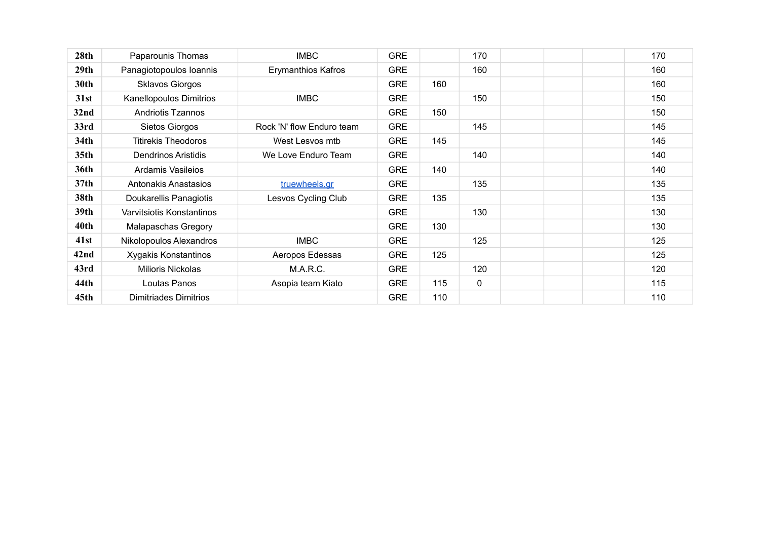| 28 <sub>th</sub> | Paparounis Thomas            | <b>IMBC</b>               | <b>GRE</b> |     | 170         | 170 |
|------------------|------------------------------|---------------------------|------------|-----|-------------|-----|
| 29 <sub>th</sub> | Panagiotopoulos Ioannis      | <b>Erymanthios Kafros</b> | <b>GRE</b> |     | 160         | 160 |
| 30th             | <b>Sklavos Giorgos</b>       |                           | <b>GRE</b> | 160 |             | 160 |
| 31st             | Kanellopoulos Dimitrios      | <b>IMBC</b>               | <b>GRE</b> |     | 150         | 150 |
| 32 <sub>nd</sub> | <b>Andriotis Tzannos</b>     |                           | <b>GRE</b> | 150 |             | 150 |
| 33rd             | Sietos Giorgos               | Rock 'N' flow Enduro team | <b>GRE</b> |     | 145         | 145 |
| 34th             | <b>Titirekis Theodoros</b>   | West Lesvos mtb           | <b>GRE</b> | 145 |             | 145 |
| 35 <sub>th</sub> | <b>Dendrinos Aristidis</b>   | We Love Enduro Team       | <b>GRE</b> |     | 140         | 140 |
| 36th             | Ardamis Vasileios            |                           | <b>GRE</b> | 140 |             | 140 |
| 37 <sub>th</sub> | Antonakis Anastasios         | truewheels.gr             | <b>GRE</b> |     | 135         | 135 |
| 38th             | Doukarellis Panagiotis       | Lesvos Cycling Club       | <b>GRE</b> | 135 |             | 135 |
| 39th             | Varvitsiotis Konstantinos    |                           | <b>GRE</b> |     | 130         | 130 |
| 40 <sub>th</sub> | Malapaschas Gregory          |                           | <b>GRE</b> | 130 |             | 130 |
| 41st             | Nikolopoulos Alexandros      | <b>IMBC</b>               | <b>GRE</b> |     | 125         | 125 |
| 42 <sub>nd</sub> | Xygakis Konstantinos         | Aeropos Edessas           | <b>GRE</b> | 125 |             | 125 |
| 43rd             | <b>Milioris Nickolas</b>     | M.A.R.C.                  | <b>GRE</b> |     | 120         | 120 |
| 44th             | Loutas Panos                 | Asopia team Kiato         | <b>GRE</b> | 115 | $\mathbf 0$ | 115 |
| 45 <sub>th</sub> | <b>Dimitriades Dimitrios</b> |                           | <b>GRE</b> | 110 |             | 110 |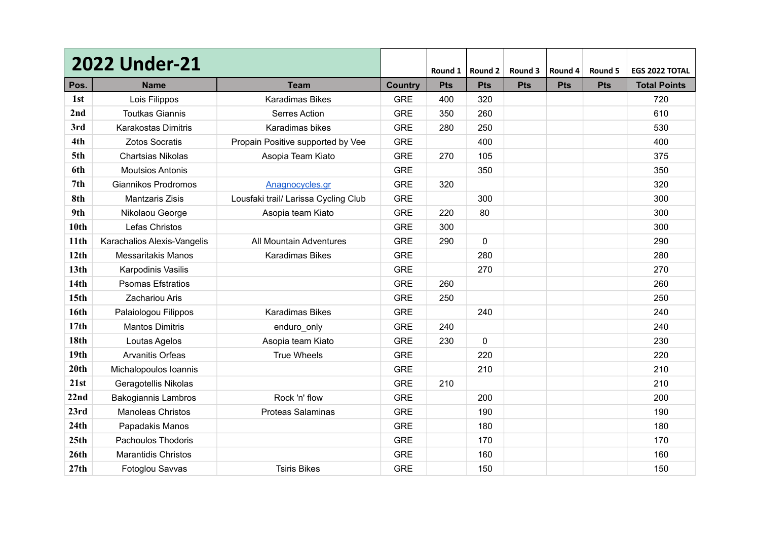|                  | <b>2022 Under-21</b>        |                                      |                | Round 1    | Round 2     | Round 3    | Round 4    | Round 5    | EGS 2022 TOTAL      |
|------------------|-----------------------------|--------------------------------------|----------------|------------|-------------|------------|------------|------------|---------------------|
| Pos.             | <b>Name</b>                 | <b>Team</b>                          | <b>Country</b> | <b>Pts</b> | <b>Pts</b>  | <b>Pts</b> | <b>Pts</b> | <b>Pts</b> | <b>Total Points</b> |
| 1st              | Lois Filippos               | <b>Karadimas Bikes</b>               | <b>GRE</b>     | 400        | 320         |            |            |            | 720                 |
| 2nd              | <b>Toutkas Giannis</b>      | <b>Serres Action</b>                 | <b>GRE</b>     | 350        | 260         |            |            |            | 610                 |
| 3rd              | <b>Karakostas Dimitris</b>  | Karadimas bikes                      | <b>GRE</b>     | 280        | 250         |            |            |            | 530                 |
| 4th              | <b>Zotos Socratis</b>       | Propain Positive supported by Vee    | <b>GRE</b>     |            | 400         |            |            |            | 400                 |
| 5th              | <b>Chartsias Nikolas</b>    | Asopia Team Kiato                    | <b>GRE</b>     | 270        | 105         |            |            |            | 375                 |
| 6th              | <b>Moutsios Antonis</b>     |                                      | <b>GRE</b>     |            | 350         |            |            |            | 350                 |
| 7 <sub>th</sub>  | Giannikos Prodromos         | Anagnocycles.gr                      | <b>GRE</b>     | 320        |             |            |            |            | 320                 |
| 8th              | <b>Mantzaris Zisis</b>      | Lousfaki trail/ Larissa Cycling Club | <b>GRE</b>     |            | 300         |            |            |            | 300                 |
| 9th              | Nikolaou George             | Asopia team Kiato                    | <b>GRE</b>     | 220        | 80          |            |            |            | 300                 |
| 10 <sub>th</sub> | Lefas Christos              |                                      | <b>GRE</b>     | 300        |             |            |            |            | 300                 |
| 11th             | Karachalios Alexis-Vangelis | All Mountain Adventures              | <b>GRE</b>     | 290        | $\mathbf 0$ |            |            |            | 290                 |
| 12th             | <b>Messaritakis Manos</b>   | <b>Karadimas Bikes</b>               | <b>GRE</b>     |            | 280         |            |            |            | 280                 |
| 13 <sub>th</sub> | <b>Karpodinis Vasilis</b>   |                                      | <b>GRE</b>     |            | 270         |            |            |            | 270                 |
| 14 <sub>th</sub> | <b>Psomas Efstratios</b>    |                                      | <b>GRE</b>     | 260        |             |            |            |            | 260                 |
| 15 <sub>th</sub> | Zachariou Aris              |                                      | <b>GRE</b>     | 250        |             |            |            |            | 250                 |
| 16th             | Palaiologou Filippos        | <b>Karadimas Bikes</b>               | <b>GRE</b>     |            | 240         |            |            |            | 240                 |
| 17th             | <b>Mantos Dimitris</b>      | enduro_only                          | <b>GRE</b>     | 240        |             |            |            |            | 240                 |
| 18th             | Loutas Agelos               | Asopia team Kiato                    | <b>GRE</b>     | 230        | 0           |            |            |            | 230                 |
| 19 <sub>th</sub> | Arvanitis Orfeas            | <b>True Wheels</b>                   | <b>GRE</b>     |            | 220         |            |            |            | 220                 |
| 20th             | Michalopoulos Ioannis       |                                      | <b>GRE</b>     |            | 210         |            |            |            | 210                 |
| 21st             | Geragotellis Nikolas        |                                      | <b>GRE</b>     | 210        |             |            |            |            | 210                 |
| 22nd             | <b>Bakogiannis Lambros</b>  | Rock 'n' flow                        | <b>GRE</b>     |            | 200         |            |            |            | 200                 |
| 23rd             | <b>Manoleas Christos</b>    | <b>Proteas Salaminas</b>             | <b>GRE</b>     |            | 190         |            |            |            | 190                 |
| 24th             | Papadakis Manos             |                                      | <b>GRE</b>     |            | 180         |            |            |            | 180                 |
| 25th             | Pachoulos Thodoris          |                                      | <b>GRE</b>     |            | 170         |            |            |            | 170                 |
| 26 <sup>th</sup> | <b>Marantidis Christos</b>  |                                      | <b>GRE</b>     |            | 160         |            |            |            | 160                 |
| 27th             | Fotoglou Savvas             | <b>Tsiris Bikes</b>                  | <b>GRE</b>     |            | 150         |            |            |            | 150                 |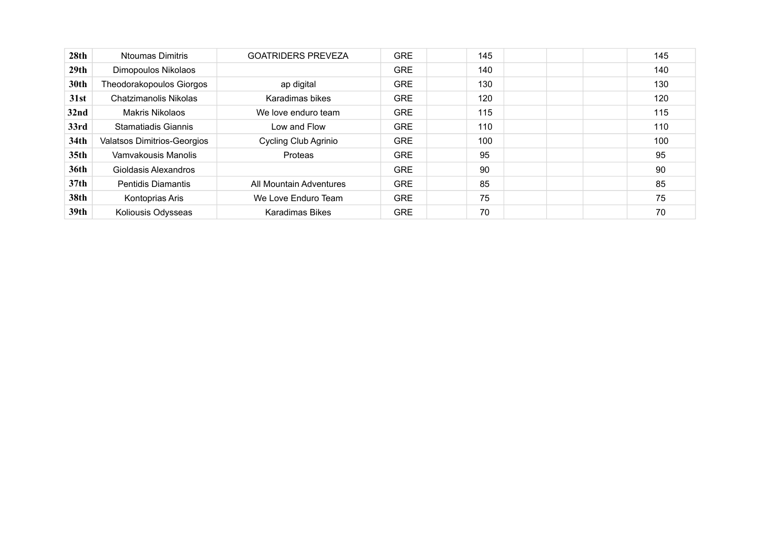| 28th             | <b>Ntoumas Dimitris</b>            | <b>GOATRIDERS PREVEZA</b> | <b>GRE</b> | 145 | 145 |
|------------------|------------------------------------|---------------------------|------------|-----|-----|
| 29 <sub>th</sub> | Dimopoulos Nikolaos                |                           | <b>GRE</b> | 140 | 140 |
| 30th             | Theodorakopoulos Giorgos           | ap digital                | <b>GRE</b> | 130 | 130 |
| 31st             | <b>Chatzimanolis Nikolas</b>       | Karadimas bikes           | <b>GRE</b> | 120 | 120 |
| 32 <sub>nd</sub> | Makris Nikolaos                    | We love enduro team       | <b>GRE</b> | 115 | 115 |
| 33rd             | Stamatiadis Giannis                | Low and Flow              | <b>GRE</b> | 110 | 110 |
| 34th             | <b>Valatsos Dimitrios-Georgios</b> | Cycling Club Agrinio      | <b>GRE</b> | 100 | 100 |
| 35 <sub>th</sub> | Vamvakousis Manolis                | Proteas                   | <b>GRE</b> | 95  | 95  |
| 36th             | Gioldasis Alexandros               |                           | <b>GRE</b> | 90  | 90  |
| 37 <sub>th</sub> | <b>Pentidis Diamantis</b>          | All Mountain Adventures   | <b>GRE</b> | 85  | 85  |
| <b>38th</b>      | Kontoprias Aris                    | We Love Enduro Team       | <b>GRE</b> | 75  | 75  |
| 39 <sub>th</sub> | Koliousis Odysseas                 | <b>Karadimas Bikes</b>    | <b>GRE</b> | 70  | 70  |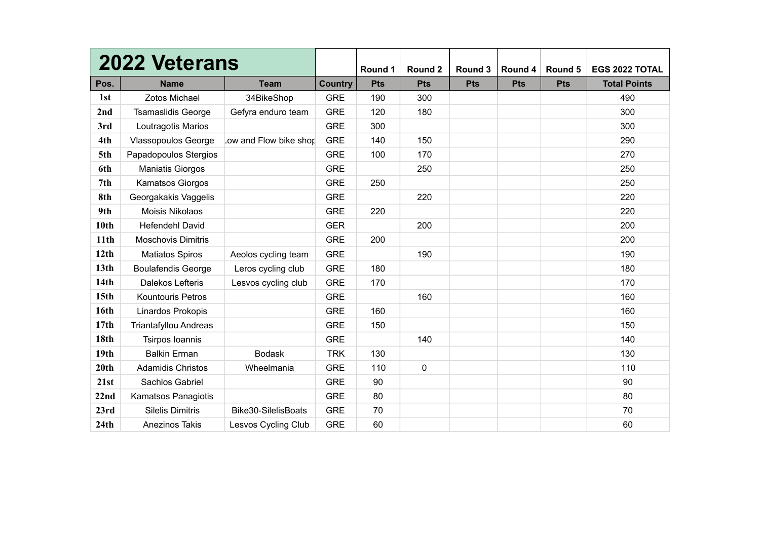|                  | <b>2022 Veterans</b>       |                        |                | Round 1    | Round 2     | Round 3    | Round 4    | Round 5    | <b>EGS 2022 TOTAL</b> |
|------------------|----------------------------|------------------------|----------------|------------|-------------|------------|------------|------------|-----------------------|
| Pos.             | <b>Name</b>                | <b>Team</b>            | <b>Country</b> | <b>Pts</b> | <b>Pts</b>  | <b>Pts</b> | <b>Pts</b> | <b>Pts</b> | <b>Total Points</b>   |
| 1st              | Zotos Michael              |                        | <b>GRE</b>     | 190        | 300         |            |            |            | 490                   |
|                  |                            | 34BikeShop             |                |            |             |            |            |            |                       |
| 2nd              | <b>Tsamaslidis George</b>  | Gefyra enduro team     | <b>GRE</b>     | 120        | 180         |            |            |            | 300                   |
| 3rd              | Loutragotis Marios         |                        | <b>GRE</b>     | 300        |             |            |            |            | 300                   |
| 4th              | <b>Vlassopoulos George</b> | Low and Flow bike shop | <b>GRE</b>     | 140        | 150         |            |            |            | 290                   |
| 5th              | Papadopoulos Stergios      |                        | <b>GRE</b>     | 100        | 170         |            |            |            | 270                   |
| 6th              | <b>Maniatis Giorgos</b>    |                        | <b>GRE</b>     |            | 250         |            |            |            | 250                   |
| 7th              | Kamatsos Giorgos           |                        | <b>GRE</b>     | 250        |             |            |            |            | 250                   |
| 8th              | Georgakakis Vaggelis       |                        | <b>GRE</b>     |            | 220         |            |            |            | 220                   |
| 9th              | Moisis Nikolaos            |                        | <b>GRE</b>     | 220        |             |            |            |            | 220                   |
| 10 <sub>th</sub> | <b>Hefendehl David</b>     |                        | <b>GER</b>     |            | 200         |            |            |            | 200                   |
| 11 <sub>th</sub> | <b>Moschovis Dimitris</b>  |                        | <b>GRE</b>     | 200        |             |            |            |            | 200                   |
| 12th             | <b>Matiatos Spiros</b>     | Aeolos cycling team    | <b>GRE</b>     |            | 190         |            |            |            | 190                   |
| 13 <sub>th</sub> | <b>Boulafendis George</b>  | Leros cycling club     | <b>GRE</b>     | 180        |             |            |            |            | 180                   |
| 14 <sub>th</sub> | Dalekos Lefteris           | Lesvos cycling club    | <b>GRE</b>     | 170        |             |            |            |            | 170                   |
| 15 <sub>th</sub> | <b>Kountouris Petros</b>   |                        | <b>GRE</b>     |            | 160         |            |            |            | 160                   |
| 16th             | Linardos Prokopis          |                        | <b>GRE</b>     | 160        |             |            |            |            | 160                   |
| 17 <sub>th</sub> | Triantafyllou Andreas      |                        | <b>GRE</b>     | 150        |             |            |            |            | 150                   |
| <b>18th</b>      | Tsirpos Ioannis            |                        | <b>GRE</b>     |            | 140         |            |            |            | 140                   |
| 19 <sub>th</sub> | <b>Balkin Erman</b>        | <b>Bodask</b>          | <b>TRK</b>     | 130        |             |            |            |            | 130                   |
| 20th             | <b>Adamidis Christos</b>   | Wheelmania             | <b>GRE</b>     | 110        | $\mathbf 0$ |            |            |            | 110                   |
| 21st             | Sachlos Gabriel            |                        | <b>GRE</b>     | 90         |             |            |            |            | 90                    |
| 22nd             | Kamatsos Panagiotis        |                        | <b>GRE</b>     | 80         |             |            |            |            | 80                    |
| 23rd             | <b>Silelis Dimitris</b>    | Bike30-SilelisBoats    | <b>GRE</b>     | 70         |             |            |            |            | 70                    |
| 24th             | <b>Anezinos Takis</b>      | Lesvos Cycling Club    | <b>GRE</b>     | 60         |             |            |            |            | 60                    |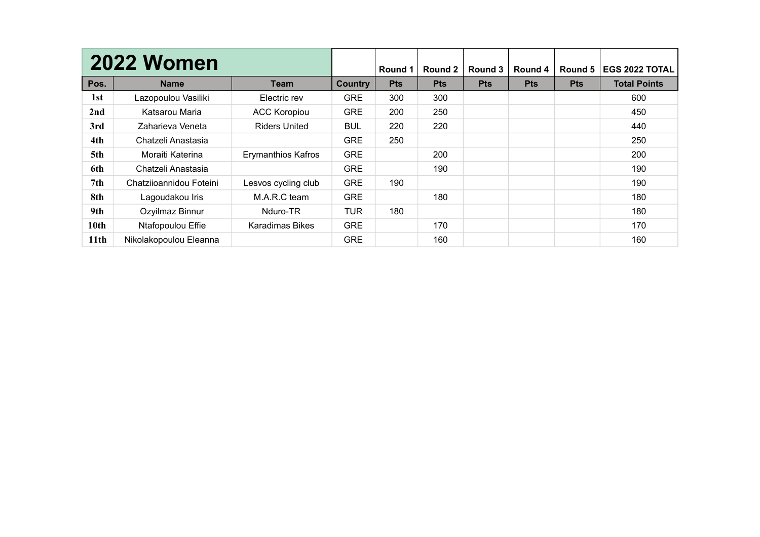|                  | <b>2022 Women</b>       |                           |            | <b>Round 1</b> | Round 2    | Round 3    | Round 4    | Round 5    | <b>EGS 2022 TOTAL</b> |
|------------------|-------------------------|---------------------------|------------|----------------|------------|------------|------------|------------|-----------------------|
| Pos.             | <b>Name</b>             | Team                      | Country    | <b>Pts</b>     | <b>Pts</b> | <b>Pts</b> | <b>Pts</b> | <b>Pts</b> | <b>Total Points</b>   |
| 1st              | Lazopoulou Vasiliki     | Electric rev              | <b>GRE</b> | 300            | 300        |            |            |            | 600                   |
| 2nd              | Katsarou Maria          | <b>ACC Koropiou</b>       | <b>GRE</b> | 200            | 250        |            |            |            | 450                   |
| 3rd              | Zaharieva Veneta        | <b>Riders United</b>      | <b>BUL</b> | 220            | 220        |            |            |            | 440                   |
| 4th              | Chatzeli Anastasia      |                           | <b>GRE</b> | 250            |            |            |            |            | 250                   |
| 5th              | Moraiti Katerina        | <b>Erymanthios Kafros</b> | <b>GRE</b> |                | 200        |            |            |            | 200                   |
| 6th              | Chatzeli Anastasia      |                           | <b>GRE</b> |                | 190        |            |            |            | 190                   |
| 7th              | Chatzijoannidou Foteini | Lesvos cycling club       | <b>GRE</b> | 190            |            |            |            |            | 190                   |
| 8th              | Lagoudakou Iris         | M.A.R.C team              | <b>GRE</b> |                | 180        |            |            |            | 180                   |
| 9th              | Ozyilmaz Binnur         | Nduro-TR                  | <b>TUR</b> | 180            |            |            |            |            | 180                   |
| 10 <sub>th</sub> | Ntafopoulou Effie       | Karadimas Bikes           | <b>GRE</b> |                | 170        |            |            |            | 170                   |
| 11 <sub>th</sub> | Nikolakopoulou Eleanna  |                           | <b>GRE</b> |                | 160        |            |            |            | 160                   |